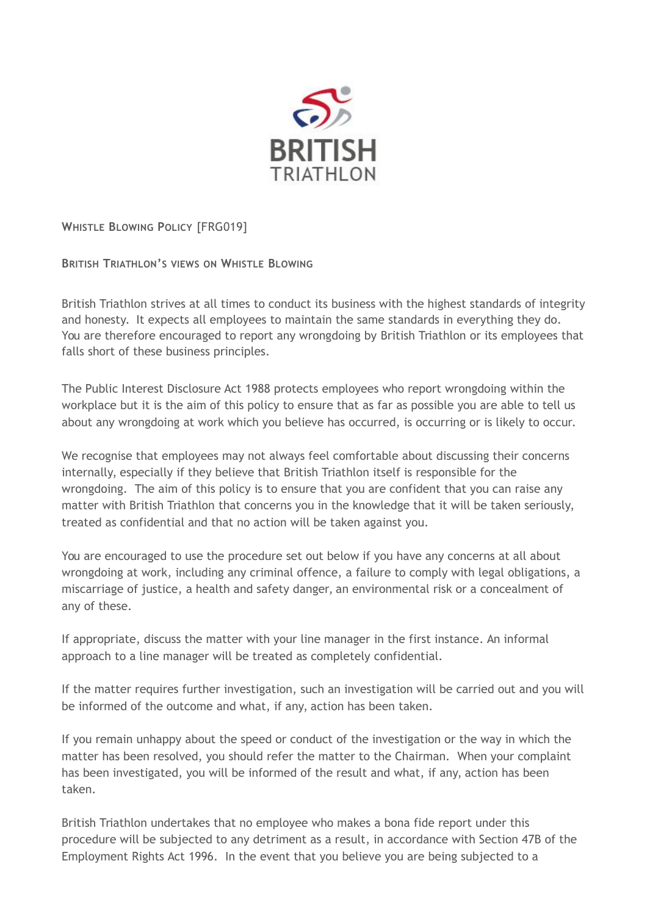

**WHISTLE BLOWING POLICY** [FRG019]

**BRITISH TRIATHLON'S VIEWS ON WHISTLE BLOWING** 

British Triathlon strives at all times to conduct its business with the highest standards of integrity and honesty. It expects all employees to maintain the same standards in everything they do. You are therefore encouraged to report any wrongdoing by British Triathlon or its employees that falls short of these business principles.

The Public Interest Disclosure Act 1988 protects employees who report wrongdoing within the workplace but it is the aim of this policy to ensure that as far as possible you are able to tell us about any wrongdoing at work which you believe has occurred, is occurring or is likely to occur.

We recognise that employees may not always feel comfortable about discussing their concerns internally, especially if they believe that British Triathlon itself is responsible for the wrongdoing. The aim of this policy is to ensure that you are confident that you can raise any matter with British Triathlon that concerns you in the knowledge that it will be taken seriously, treated as confidential and that no action will be taken against you.

You are encouraged to use the procedure set out below if you have any concerns at all about wrongdoing at work, including any criminal offence, a failure to comply with legal obligations, a miscarriage of justice, a health and safety danger, an environmental risk or a concealment of any of these.

If appropriate, discuss the matter with your line manager in the first instance. An informal approach to a line manager will be treated as completely confidential.

If the matter requires further investigation, such an investigation will be carried out and you will be informed of the outcome and what, if any, action has been taken.

If you remain unhappy about the speed or conduct of the investigation or the way in which the matter has been resolved, you should refer the matter to the Chairman. When your complaint has been investigated, you will be informed of the result and what, if any, action has been taken.

British Triathlon undertakes that no employee who makes a bona fide report under this procedure will be subjected to any detriment as a result, in accordance with Section 47B of the Employment Rights Act 1996. In the event that you believe you are being subjected to a